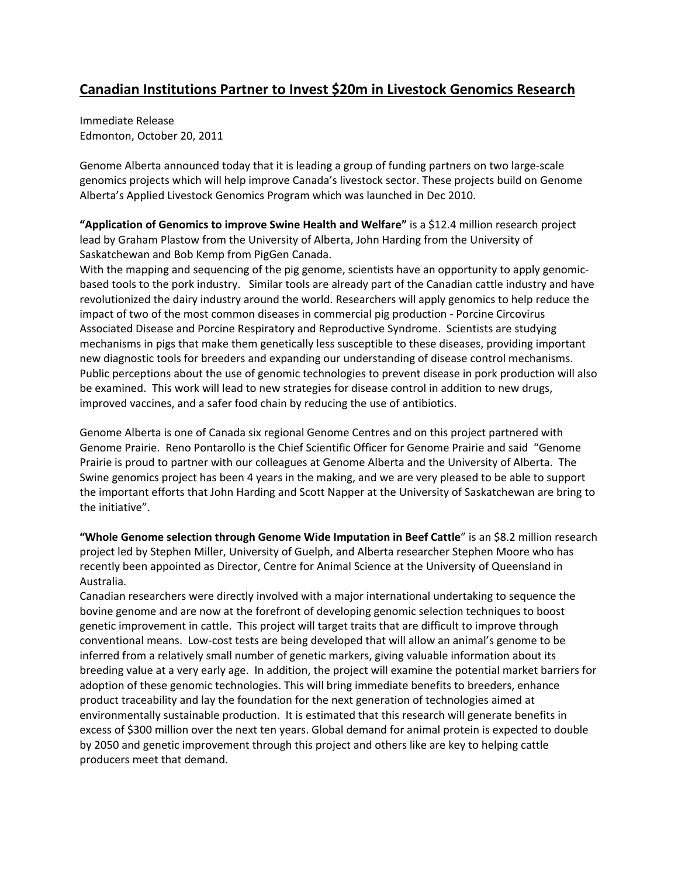## **Canadian Institutions Partner to Invest \$20m in Livestock Genomics Research**

Immediate Release Edmonton, October 20, 2011

Genome Alberta announced today that it is leading a group of funding partners on two large‐scale genomics projects which will help improve Canada's livestock sector. These projects build on Genome Alberta's Applied Livestock Genomics Program which was launched in Dec 2010.

**"Application of Genomics to improve Swine Health and Welfare"** is a \$12.4 million research project lead by Graham Plastow from the University of Alberta, John Harding from the University of Saskatchewan and Bob Kemp from PigGen Canada.

With the mapping and sequencing of the pig genome, scientists have an opportunity to apply genomicbased tools to the pork industry. Similar tools are already part of the Canadian cattle industry and have revolutionized the dairy industry around the world. Researchers will apply genomics to help reduce the impact of two of the most common diseases in commercial pig production ‐ Porcine Circovirus Associated Disease and Porcine Respiratory and Reproductive Syndrome. Scientists are studying mechanisms in pigs that make them genetically less susceptible to these diseases, providing important new diagnostic tools for breeders and expanding our understanding of disease control mechanisms. Public perceptions about the use of genomic technologies to prevent disease in pork production will also be examined. This work will lead to new strategies for disease control in addition to new drugs, improved vaccines, and a safer food chain by reducing the use of antibiotics.

Genome Alberta is one of Canada six regional Genome Centres and on this project partnered with Genome Prairie. Reno Pontarollo is the Chief Scientific Officer for Genome Prairie and said "Genome Prairie is proud to partner with our colleagues at Genome Alberta and the University of Alberta. The Swine genomics project has been 4 years in the making, and we are very pleased to be able to support the important efforts that John Harding and Scott Napper at the University of Saskatchewan are bring to the initiative".

**"Whole Genome selection through Genome Wide Imputation in Beef Cattle**" is an \$8.2 million research project led by Stephen Miller, University of Guelph, and Alberta researcher Stephen Moore who has recently been appointed as Director, Centre for Animal Science at the University of Queensland in Australia.

Canadian researchers were directly involved with a major international undertaking to sequence the bovine genome and are now at the forefront of developing genomic selection techniques to boost genetic improvement in cattle. This project will target traits that are difficult to improve through conventional means. Low‐cost tests are being developed that will allow an animal's genome to be inferred from a relatively small number of genetic markers, giving valuable information about its breeding value at a very early age. In addition, the project will examine the potential market barriers for adoption of these genomic technologies. This will bring immediate benefits to breeders, enhance product traceability and lay the foundation for the next generation of technologies aimed at environmentally sustainable production. It is estimated that this research will generate benefits in excess of \$300 million over the next ten years. Global demand for animal protein is expected to double by 2050 and genetic improvement through this project and others like are key to helping cattle producers meet that demand.